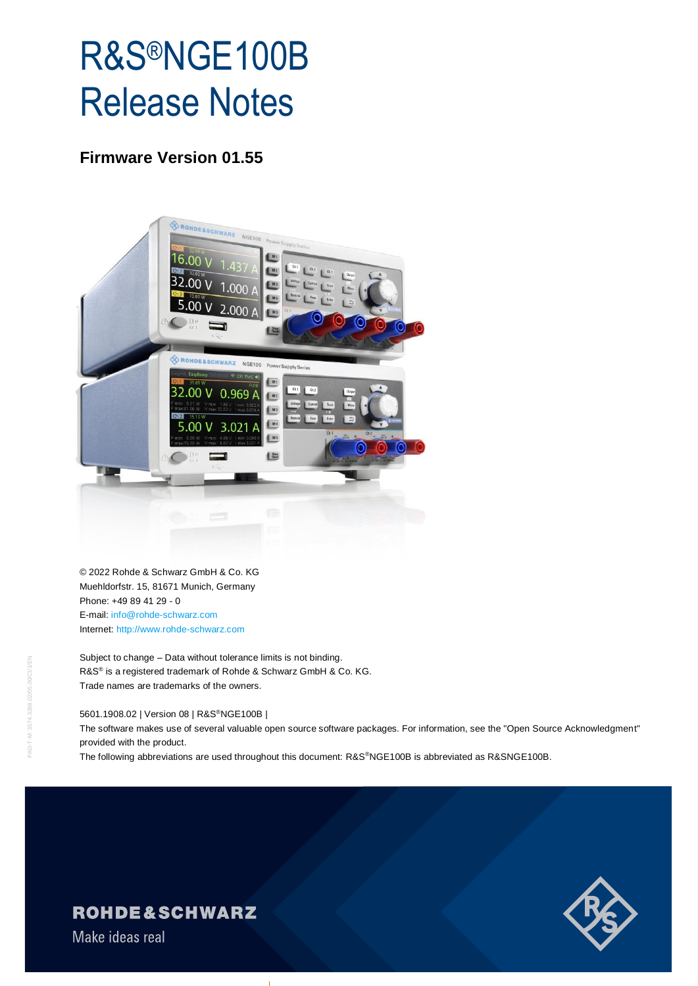# R&S®NGE100B Release Notes

#### **Firmware Version 01.55**



© 2022 Rohde & Schwarz GmbH & Co. KG Muehldorfstr. 15, 81671 Munich, Germany Phone: +49 89 41 29 - 0 E-mail: [info@rohde-schwarz.com](mailto:info@rohde-schwarz.com) Internet[: http://www.rohde-schwarz.com](http://www.rohde-schwarz.com/)

Subject to change – Data without tolerance limits is not binding. R&S<sup>®</sup> is a registered trademark of Rohde & Schwarz GmbH & Co. KG. Trade names are trademarks of the owners.

#### 5601.1908.02 | Version 08 | R&S®NGE100B |

The software makes use of several valuable open source software packages. For information, see the "Open Source Acknowledgment" provided with the product.

The following abbreviations are used throughout this document: R&S®NGE100B is abbreviated as R&SNGE100B.



### **ROHDE&SCHWARZ**

Make ideas real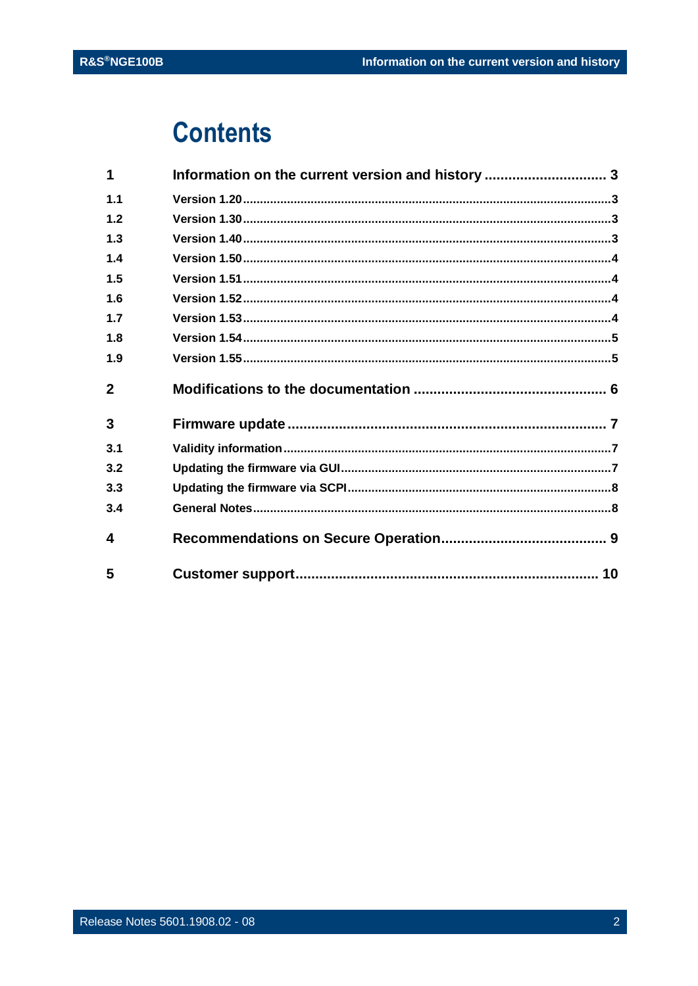## **Contents**

| 1              | Information on the current version and history  3 |  |
|----------------|---------------------------------------------------|--|
| 1.1            |                                                   |  |
| 1.2            |                                                   |  |
| 1.3            |                                                   |  |
| 1.4            |                                                   |  |
| 1.5            |                                                   |  |
| 1.6            |                                                   |  |
| 1.7            |                                                   |  |
| 1.8            |                                                   |  |
| 1.9            |                                                   |  |
| $\overline{2}$ |                                                   |  |
|                |                                                   |  |
| 3              |                                                   |  |
| 3.1            |                                                   |  |
| 3.2            |                                                   |  |
| 3.3            |                                                   |  |
| 3.4            |                                                   |  |
| 4              |                                                   |  |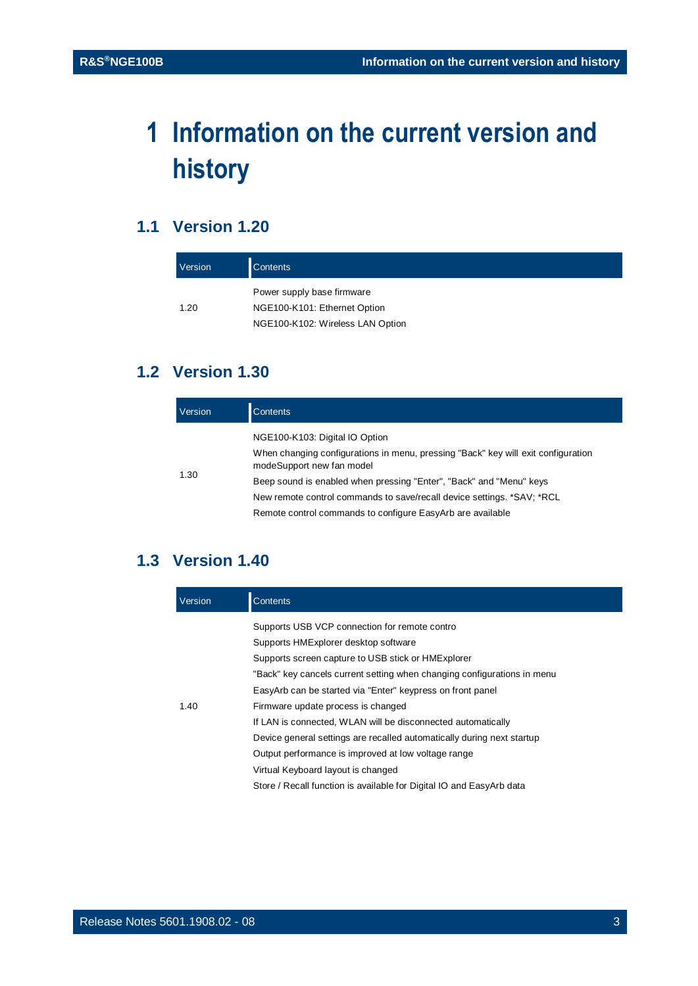## <span id="page-2-0"></span>**1 Information on the current version and history**

#### <span id="page-2-1"></span>**1.1 Version 1.20**

| Version | <b>Contents</b>                  |
|---------|----------------------------------|
|         | Power supply base firmware       |
| 1.20    | NGE100-K101: Ethernet Option     |
|         | NGE100-K102: Wireless LAN Option |

### <span id="page-2-2"></span>**1.2 Version 1.30**

| Version | <b>Contents</b>                                                                                                                                  |
|---------|--------------------------------------------------------------------------------------------------------------------------------------------------|
|         | NGE100-K103: Digital IO Option<br>When changing configurations in menu, pressing "Back" key will exit configuration<br>modeSupport new fan model |
| 1.30    | Beep sound is enabled when pressing "Enter", "Back" and "Menu" keys                                                                              |
|         | New remote control commands to save/recall device settings. *SAV; *RCL                                                                           |
|         | Remote control commands to configure EasyArb are available                                                                                       |

#### <span id="page-2-3"></span>**1.3 Version 1.40**

| Version | Contents                                                                |  |
|---------|-------------------------------------------------------------------------|--|
|         | Supports USB VCP connection for remote contro                           |  |
|         | Supports HMExplorer desktop software                                    |  |
|         | Supports screen capture to USB stick or HMExplorer                      |  |
|         | "Back" key cancels current setting when changing configurations in menu |  |
|         | EasyArb can be started via "Enter" keypress on front panel              |  |
| 1.40    | Firmware update process is changed                                      |  |
|         | If LAN is connected, WLAN will be disconnected automatically            |  |
|         | Device general settings are recalled automatically during next startup  |  |
|         | Output performance is improved at low voltage range                     |  |
|         | Virtual Keyboard layout is changed                                      |  |
|         | Store / Recall function is available for Digital IO and EasyArb data    |  |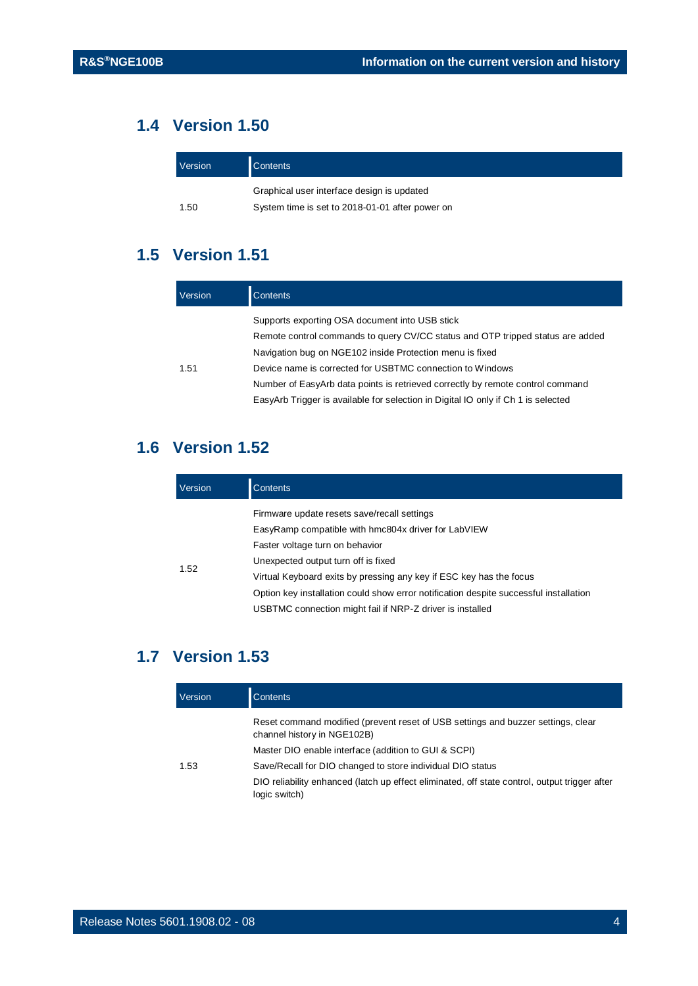### **1.4 Version 1.50**

<span id="page-3-0"></span>

| Version | <b>Contents</b>                                 |
|---------|-------------------------------------------------|
|         | Graphical user interface design is updated      |
| 1.50    | System time is set to 2018-01-01 after power on |

### <span id="page-3-1"></span>**1.5 Version 1.51**

| Version                                                           | Contents                                                                          |
|-------------------------------------------------------------------|-----------------------------------------------------------------------------------|
|                                                                   | Supports exporting OSA document into USB stick                                    |
|                                                                   | Remote control commands to query CV/CC status and OTP tripped status are added    |
| Navigation bug on NGE102 inside Protection menu is fixed          |                                                                                   |
| 1.51<br>Device name is corrected for USBTMC connection to Windows |                                                                                   |
|                                                                   | Number of EasyArb data points is retrieved correctly by remote control command    |
|                                                                   | EasyArb Trigger is available for selection in Digital IO only if Ch 1 is selected |

### <span id="page-3-2"></span>**1.6 Version 1.52**

| Version | <b>Contents</b>                                                                       |  |
|---------|---------------------------------------------------------------------------------------|--|
|         | Firmware update resets save/recall settings                                           |  |
|         | EasyRamp compatible with hmc804x driver for LabVIEW                                   |  |
|         | Faster voltage turn on behavior                                                       |  |
|         | Unexpected output turn off is fixed                                                   |  |
| 1.52    | Virtual Keyboard exits by pressing any key if ESC key has the focus                   |  |
|         | Option key installation could show error notification despite successful installation |  |
|         | USBTMC connection might fail if NRP-Z driver is installed                             |  |

### <span id="page-3-3"></span>**1.7 Version 1.53**

| Version | Contents                                                                                                        |
|---------|-----------------------------------------------------------------------------------------------------------------|
|         | Reset command modified (prevent reset of USB settings and buzzer settings, clear<br>channel history in NGE102B) |
|         | Master DIO enable interface (addition to GUI & SCPI)                                                            |
| 1.53    | Save/Recall for DIO changed to store individual DIO status                                                      |
|         | DIO reliability enhanced (latch up effect eliminated, off state control, output trigger after<br>logic switch)  |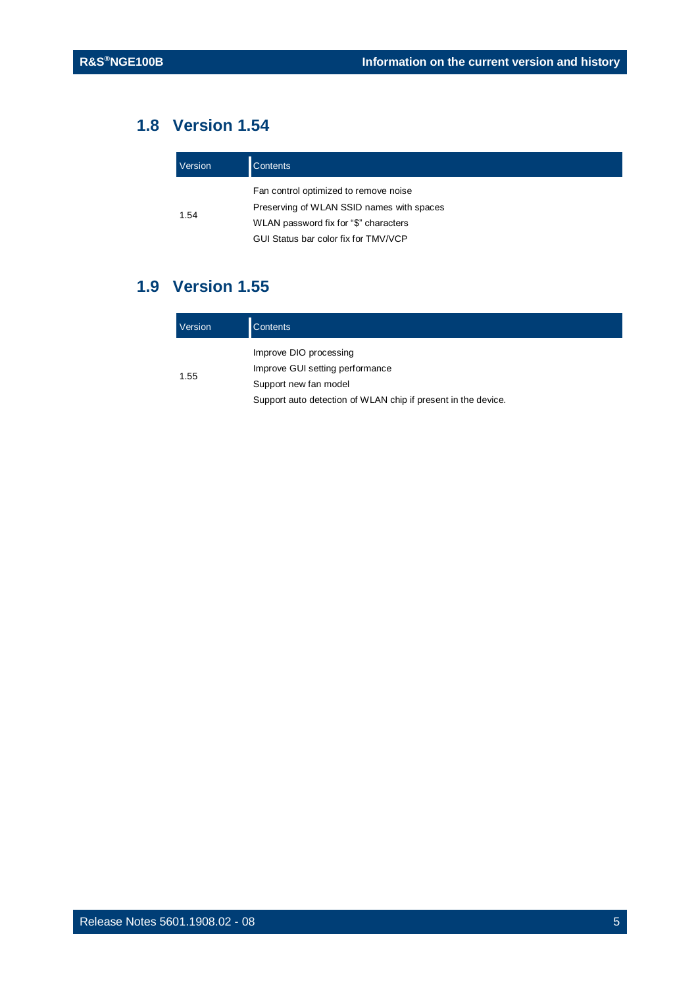### **1.8 Version 1.54**

<span id="page-4-0"></span>

| Version | <b>Contents</b>                           |  |
|---------|-------------------------------------------|--|
|         | Fan control optimized to remove noise     |  |
| 1.54    | Preserving of WLAN SSID names with spaces |  |
|         | WLAN password fix for "\$" characters     |  |
|         | GUI Status bar color fix for TMV/VCP      |  |

### <span id="page-4-1"></span>**1.9 Version 1.55**

| Version | <b>Contents</b>                                               |  |
|---------|---------------------------------------------------------------|--|
| 1.55    | Improve DIO processing                                        |  |
|         | Improve GUI setting performance<br>Support new fan model      |  |
|         | Support auto detection of WLAN chip if present in the device. |  |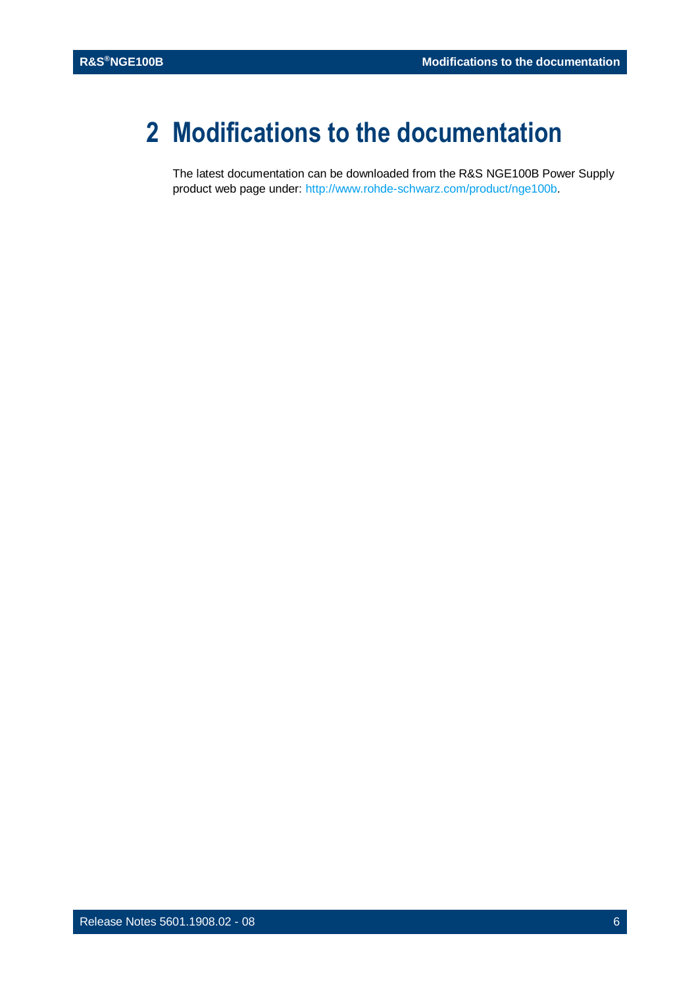## <span id="page-5-0"></span>**2 Modifications to the documentation**

The latest documentation can be downloaded from the R&S NGE100B Power Supply product web page under: [http://www.rohde-schwarz.com/product/nge100b.](http://www.rohde-schwarz.com/product/nge100b)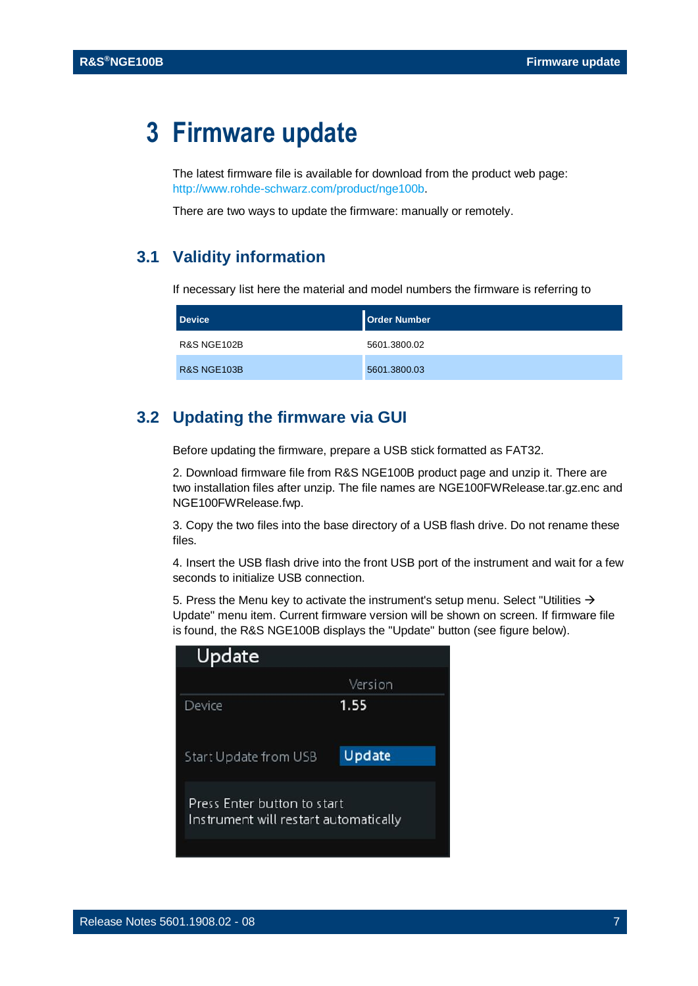## <span id="page-6-0"></span>**3 Firmware update**

The latest firmware file is available for download from the product web page: [http://www.rohde-schwarz.com/product/nge100b.](http://www.rohde-schwarz.com/product/nge100b)

<span id="page-6-1"></span>There are two ways to update the firmware: manually or remotely.

#### **3.1 Validity information**

If necessary list here the material and model numbers the firmware is referring to

| <b>Device</b>          | <b>Order Number</b> |
|------------------------|---------------------|
| <b>R&amp;S NGE102B</b> | 5601.3800.02        |
| <b>R&amp;S NGE103B</b> | 5601.3800.03        |

#### <span id="page-6-2"></span>**3.2 Updating the firmware via GUI**

Before updating the firmware, prepare a USB stick formatted as FAT32.

2. Download firmware file from R&S NGE100B product page and unzip it. There are two installation files after unzip. The file names are NGE100FWRelease.tar.gz.enc and NGE100FWRelease.fwp.

3. Copy the two files into the base directory of a USB flash drive. Do not rename these files.

4. Insert the USB flash drive into the front USB port of the instrument and wait for a few seconds to initialize USB connection.

5. Press the Menu key to activate the instrument's setup menu. Select "Utilities  $\rightarrow$ Update" menu item. Current firmware version will be shown on screen. If firmware file is found, the R&S NGE100B displays the "Update" button (see figure below).

| Update                                                               |         |  |
|----------------------------------------------------------------------|---------|--|
|                                                                      | Version |  |
| Device                                                               | 1.55    |  |
| Start Update from USB                                                | Update  |  |
| Press Enter button to start<br>Instrument will restart automatically |         |  |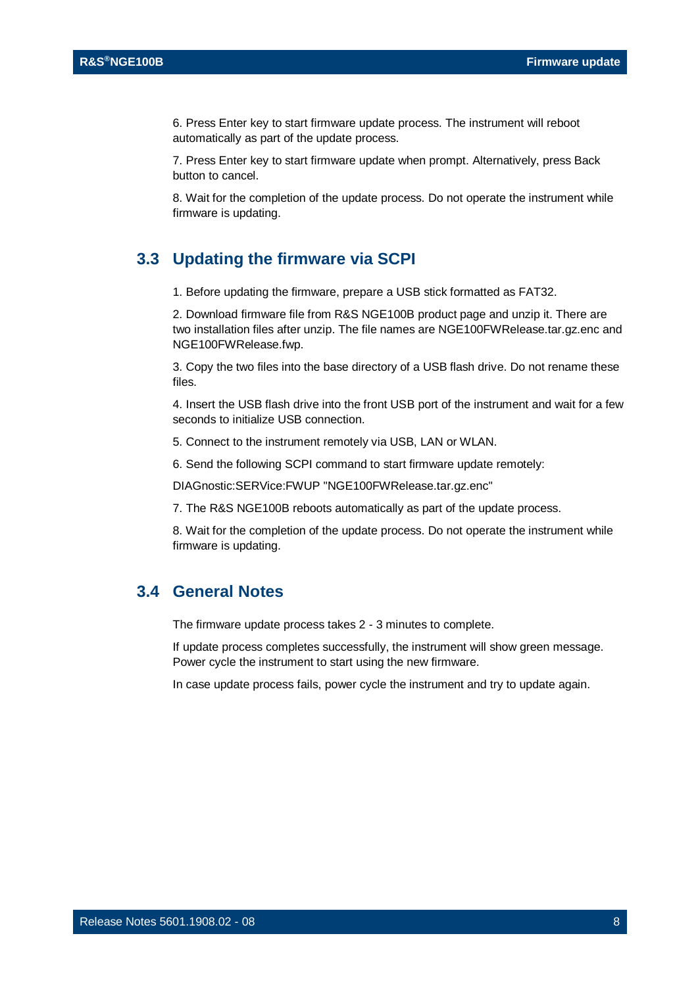6. Press Enter key to start firmware update process. The instrument will reboot automatically as part of the update process.

7. Press Enter key to start firmware update when prompt. Alternatively, press Back button to cancel.

<span id="page-7-0"></span>8. Wait for the completion of the update process. Do not operate the instrument while firmware is updating.

#### **3.3 Updating the firmware via SCPI**

1. Before updating the firmware, prepare a USB stick formatted as FAT32.

2. Download firmware file from R&S NGE100B product page and unzip it. There are two installation files after unzip. The file names are NGE100FWRelease.tar.gz.enc and NGE100FWRelease.fwp.

3. Copy the two files into the base directory of a USB flash drive. Do not rename these files.

4. Insert the USB flash drive into the front USB port of the instrument and wait for a few seconds to initialize USB connection.

- 5. Connect to the instrument remotely via USB, LAN or WLAN.
- 6. Send the following SCPI command to start firmware update remotely:

DIAGnostic:SERVice:FWUP "NGE100FWRelease.tar.gz.enc"

7. The R&S NGE100B reboots automatically as part of the update process.

<span id="page-7-1"></span>8. Wait for the completion of the update process. Do not operate the instrument while firmware is updating.

#### **3.4 General Notes**

The firmware update process takes 2 - 3 minutes to complete.

If update process completes successfully, the instrument will show green message. Power cycle the instrument to start using the new firmware.

In case update process fails, power cycle the instrument and try to update again.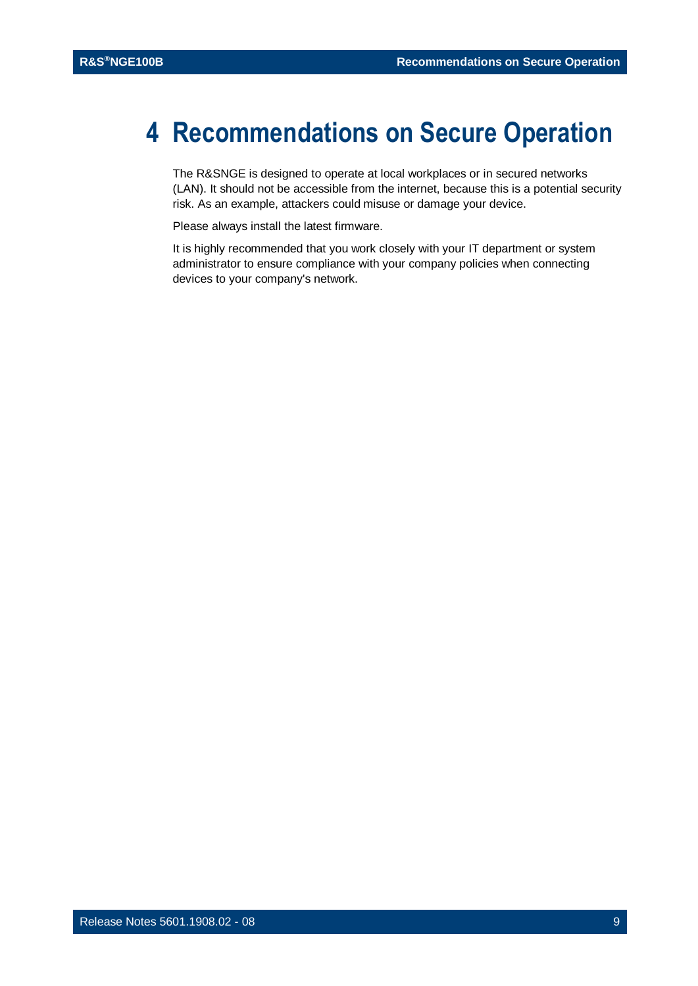## <span id="page-8-0"></span>**4 Recommendations on Secure Operation**

The R&SNGE is designed to operate at local workplaces or in secured networks (LAN). It should not be accessible from the internet, because this is a potential security risk. As an example, attackers could misuse or damage your device.

Please always install the latest firmware.

It is highly recommended that you work closely with your IT department or system administrator to ensure compliance with your company policies when connecting devices to your company's network.